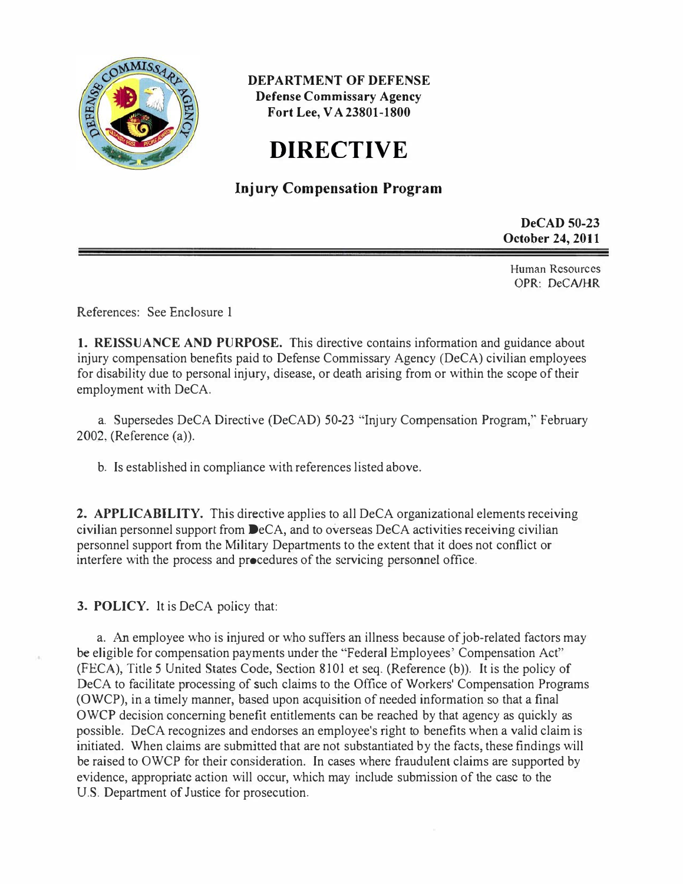

DEPARTMENT OF DEFENSE Defense Commissary Agency Fort Lee, VA 23801-1800

# DIRECTIVE

# Injury Compensation Program

DeCAD 50-23 October 24, 2011

Human Resources OPR: DeCNHR

References: See Enclosure I

1. RElSSVANCE AND PURPOSE. This directive contains information and guidance about injury compensation benefits paid to Defense Commissary Agency CDeCA) civilian employees for disability due to personal injury, disease, or death arising from or within the scope of their employment with DeCA.

a. Supersedes DeCA Directive (DeCAD) 50-23 "Injury Compensation Program," February 2002, (Reference (a)).

b. Is established in compliance with references listed above.

2. APPLICABILITY. This directive applies to all DeCA organizational elements receiving civilian personnel support from DeCA, and to overseas DeCA activities receiving civilian personnel support from the Military Departments to the extent that it does not conflict or interfere with the process and procedures of the servicing personnel office.

3. POLICY. It is OeCA policy that:

a. An employee who is injured or who suffers an illness because of job-related factors may be eligible for compensation payments under the "Federal Employees' Compensation Act" (FECA), Title 5 United States Code, Section 8101 et seq. (Reference (b)). It is the policy of DeCA to facilitate processing of such claims to the Office of Workers' Compensation Programs (OWCP), in a timely manner, based upon acquisition of needed information so that a final owep decision concerning benefit entitlements can be reached by that agency as quickly as possible. DeCA recognizes and endorses an employee's right to benefits when a valid claim is initiated. When claims are submitted that are not substantiated by the facts, these findings will be raised to OWCP for their consideration. In cases where fraudulent claims are supported by evidence, appropriate action will occur, which may include submission of the case to the U.S. Department of Justice for prosecution.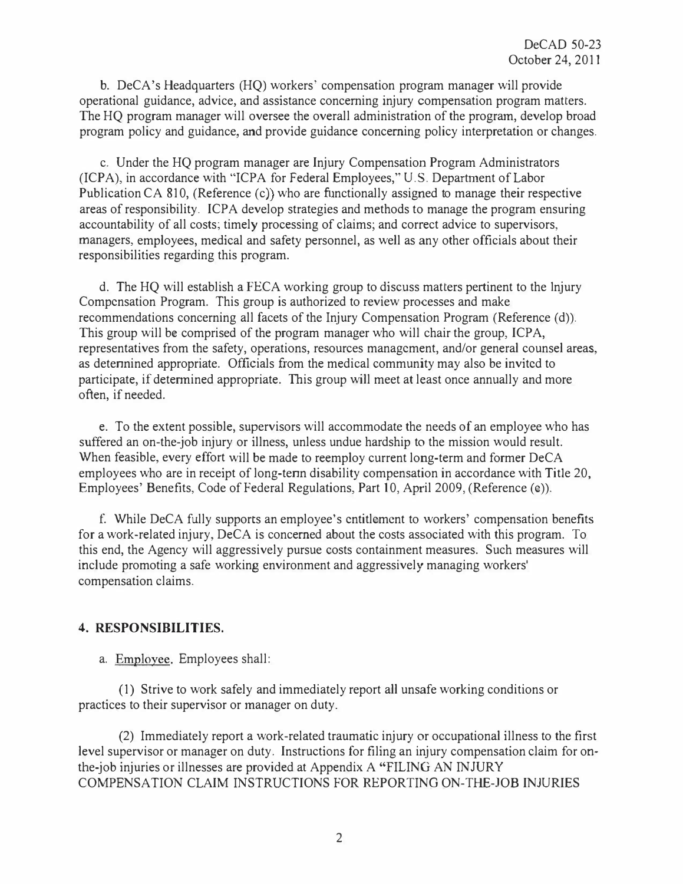b. DeCA's Headquarters (HQ) workers' compensation program manager will provide operational guidance, advice, and assistance concerning injury compensation program matters. The HQ program manager will oversee the overall administration of the program, develop broad program policy and guidance, and provide guidance concerning policy interpretation or changes.

c. Under the HQ program manager are Injury Compensation Program Administrators (ICPA), in accordance with "ICPA for Federal Employees," U.S. Department of Labor Publication CA 810, (Reference  $(c)$ ) who are functionally assigned to manage their respective areas of responsibility. ICPA develop strategies and methods to manage the program ensuring accountability of all costs; timely processing of claims; and correct advice to supervisors, managers, employees, medical and safety personnel, as well as any other officials about their responsibilities regarding this program.

d. The HQ will establish a FECA working group to discuss matters pertinent to the Injury Compensation Program. This group is authorized to review processes and make recommendations concerning all facets of the Injury Compensation Program (Reference (d)). This group will be comprised of the program manager who will chair the group, ICPA, representatives from the safety, operations, resources management, and/or general counsel areas, as detennined appropriate. Officials from the medical community may also be invited to participate, if determined appropriate. This group will meet at least once annually and more often, if needed.

e. To the extent possible, supervisors will accommodate the needs of an employee who has suffered an on-the-job injury or illness, unless undue hardship to the mission would result. When feasible, every effort will be made to reemploy current long-term and former DeCA employees who are in receipt of long-tenn disability compensation in accordance with Title 20. Employees' Benefits, Code of Federal Regulations, Part 10, April 2009, (Reference (e)).

f. While DeCA fully supports an employee's entitlement to workers' compensation benefits for a work-related injury, DeCA is concerned about the costs associated with this program. To this end, the Agency will aggressively pursue costs containment measures. Such measures will include promoting a safe working environment and aggressively managing workers' compensation claims.

### 4. RESPONSIBILITIES.

a. Employee. Employees shall:

(1) Strive to work safely and immediately report all unsafe working conditions or practices to their supervisor or manager on duty.

(2) Immediately report a work-related traumatic injury or occupational illness to the first level supervisor or manager on duty. Instructions for filing an injury compensation claim for onthe-job injuries or illnesses are provided at Appendix A "FILING AN INJURY COMPENSATION CLAIM INSTRUCTIONS FOR REPORTING ON-THE-JOB INJURIES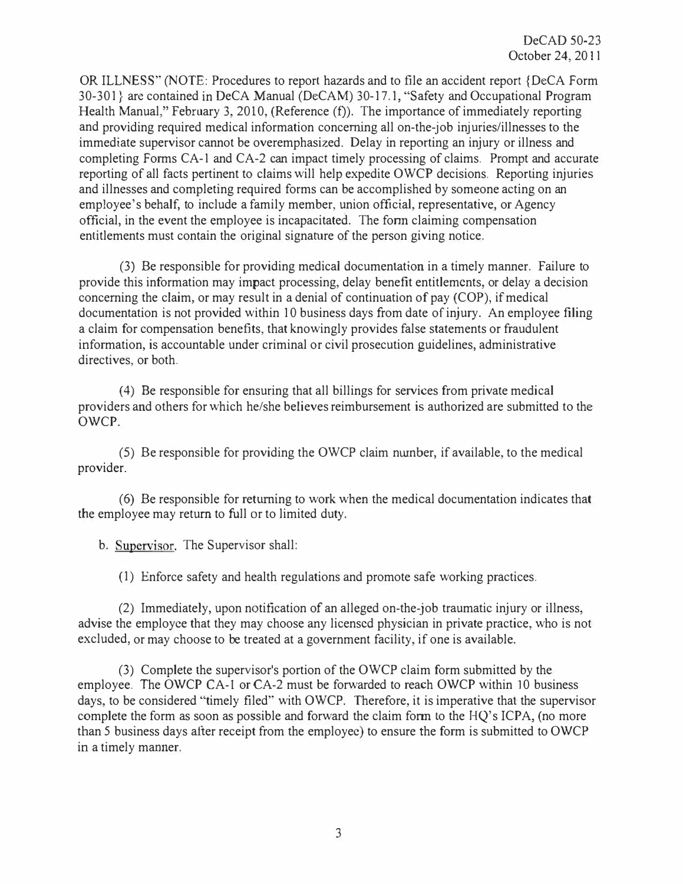OR ILLNESS" (NOTE: Procedures to report hazards and to file an accident report {OcCA Form 30-301} arc contained in OeCA Manual (OcCAM) 30-17.1, "Safety and Occupational Program Health Manual," February 3, 2010, (Reference (f)). The importance of immediately reporting and providing required medical information concerning all on-the-job injuries/illnesses to the immediate supervisor cannot be overemphasized. Delay in reporting an injury or illness and completing Forms CA-I and CA-2 can impact timely processing of claims. Prompt and accurate reporting of all facts pertinent to claims will help expedite OWCP decisions. Reporting injuries and illnesses and completing required forms can be accomplished by someone acting on an employee's behalf, to include a family member, union official, representative, or Agency official, in the event the employee is incapacitated. The fonn claiming compensation entitlements must contain the original signature of the person giving notice.

(3) Be responsible for providing medical documentation in a timely manner. Failure to provide this information may impact processing, delay benefit entitlements, or delay a decision concerning the claim, or may result in a denial of continuation of pay (COP). if medical documentation is not provided within 10 business days from date of injury. An employee filing a claim for compensation benefits, that knowingly provides false statements or fraudulent information, is accountable under criminal or civil prosecution guidelines, administrative directives, or both.

(4) Be responsible for ensuring that all billings for services from private medical providers and others for which he/she believes reimbursement is authorized are submitted to the OWCP.

(5) Be responsible for providing the OWCP claim number, if available, to the medical provider.

(6) Be responsible for returning to work when the medical documentation indicates that the employee may return to full or to limited duty.

b. Supervisor. The Supervisor shall:

(1) Enforce safety and health regulations and promote safe working practices.

(2) Immediately, upon notification of an alleged on·the·job traumatic injury or illness, advise the employee that they may choose any licensed physician in private practice, who is not excluded, or may choose to be treated at a government facility, if one is available.

(3) Complete the supervisor's portion of the OWCP claim form submitted by the employee. The OWCP CA-1 or CA-2 must be forwarded to reach OWCP within 10 business days, to be considered "timely filed" with OWCP. Therefore, it is imperative that the supervisor complete the form as soon as possible and forward the claim fonn to the HQ's ICPA, (no more than 5 business days after receipt from the employee) to ensure the form is submitted to OWCP in a timely manner.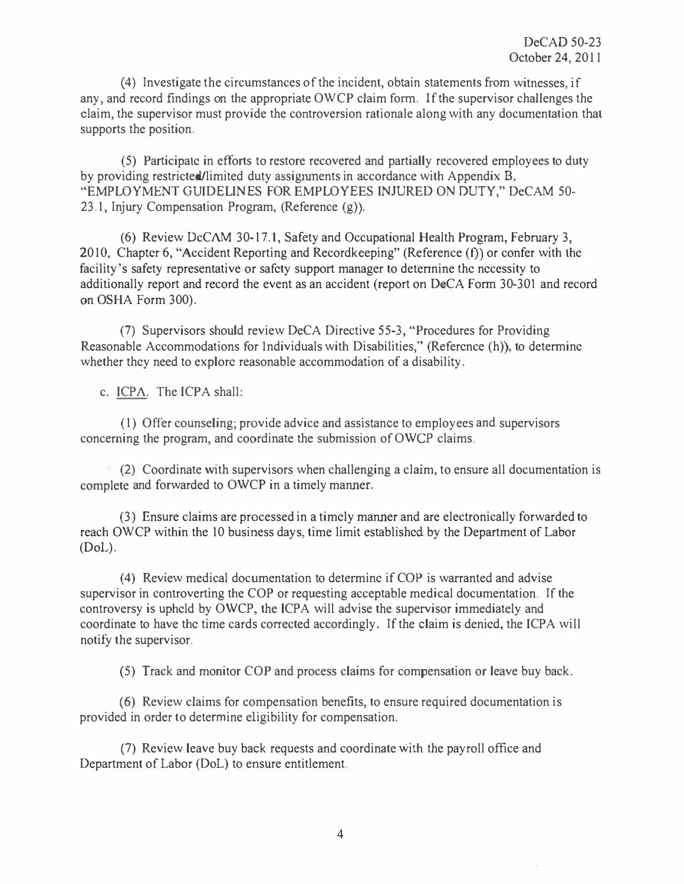(4) Investigate the circumstances of the incident, obtain statements from witnesses, if any, and record findings on the appropriate OWCP claim form. If the supervisor challenges the claim, the supervisor must provide the controversion rationale along with any documentation that supports the position.

(5) Participate in efforts to restore recovered and partially recovered employees to duty by providing restricted/limited duty assigrunents in accordance with Appendix B, "EMPLOYMENT GUIDELINES FOR EMPLOYEES INJURED ON DUTY," DeCAM 50- 23.1, Injury Compensation Program, (Reference (g)).

(6) Review OcCAM 30-17.1, Safety and Occupational Health Program, February 3, 2010, Chapter 6, "Accident Reporting and Recordkeeping" (Reference  $(f)$ ) or confer with the facility's safety representative or safety support manager to detennine the necessity to additionally report and record the event as an accident (report on DeCA Fonn 30-301 and record on OSHA Form 300).

(7) Supervisors should review DeCA Directive 55-3, "Procedures for Providing Reasonable Accommodations for Individuals with Disabilities," (Reference (h)), to determine whether they need to explore reasonable accommodation of a disability.

c. ICPA. The ICPA shall:

(1) OfTer counseling; provide advice and assistance to employees and supervisors concerning the program, and coordinate the submission of OWCP claims.

(2) Coordinate with supervisors when challenging a claim, to ensure all documentation is complete and forwarded to OWCP in a timely manner.

(3) Ensure claims are processed in a timely manner and are electronically forwarded to reach OWCP within the 10 business days, time limit established by the Department of Labor (DoL).

(4) Review medical documentation to determine if COP is warranted and advise supervisor in controverting the COP or requesting acceptable medical documentation. If the controversy is upheld by OWCP, the ICPA will advise the supervisor immediately and coordinate to have the time cards corrected accordingly. If the claim is denied, the ICPA will notify the supervisor.

(5) Track and monitor COP and process claims for compensation or leave buy back.

(6) Review claims for compensation benefits, to ensure required documentation is provided in order to determine eligibility for compensation.

(7) Review leave buy back requests and coordinate With the payroll office and Department of Labor (DoL) to ensure entitlement.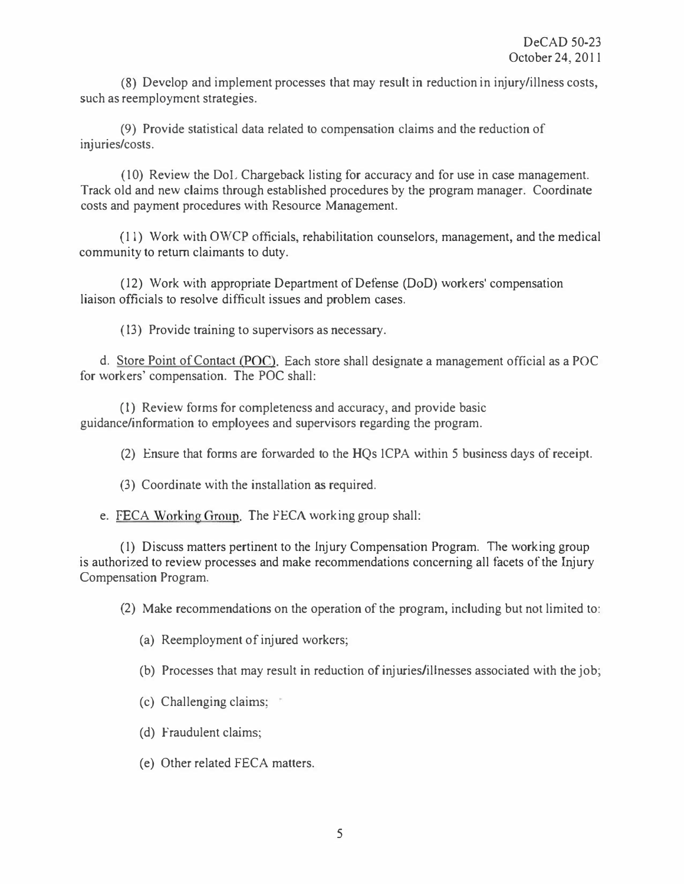(8) Develop and implement processes that may result in reduction in injury/illness costs, such as reemployment strategies.

(9) Provide statistical data related to compensation claims and the reduction of injuries/costs.

(10) Review the DoL Chargeback listing for accuracy and for use in case management. Track old and new claims through established procedures by the program manager. Coordinate costs and payment procedures with Resource Management.

 $(11)$  Work with OWCP officials, rehabilitation counselors, management, and the medical community to return claimants to duty.

(12) Work with appropriate Department of Defense (DoD) workers' compensation liaison officials to resolve difficult issues and problem cases.

(13) Provide training to supervisors as necessary.

d. Store Point of Contact (POC). Each store shall designate a management official as a POC for workers' compensation. The POC shall:

(l) Review forms for completeness and accuracy. and provide basic guidance/information to employees and supervisors regarding the program.

(2) Ensure that fonns are forwarded to the HQs ICPA within 5 business days of receipt.

(3) Coordinate with the installation as required.

e. FECA Working Group. The FECA working group shall:

(I) Discuss matters pertinent to the Injury Compensation Program. The working group is authorized to review processes and make recommendations concerning all facets of the Injury Compensation Program.

(2) Make recommendations on the operation of the program, including but not limited to:

(a) Reemployment of injured workers;

(b) Processes that may result in reduction of injuries/illnesses associated with the job;

- (c) Challenging claims;
- (d) Fraudulent claims;
- (e) Other related FECA matters.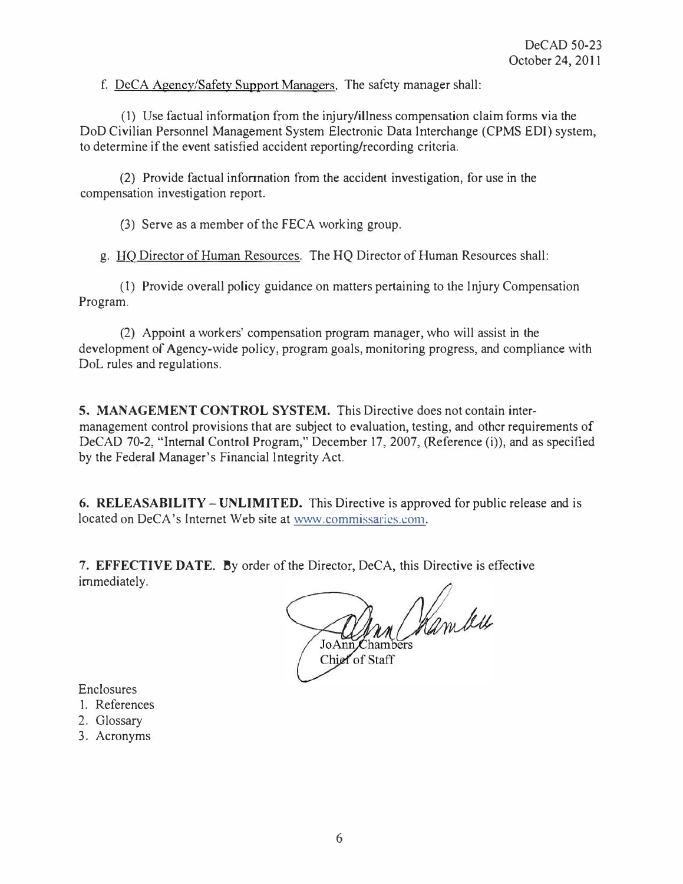f. DcCA Agency/Safety Support Managers. The safety manager shall:

(1) Use factual information from the injury/illness compensation claim forms via the DoD Civilian Personnel Management System Electronic Data Interchange (CPMS EDI) system, to determine if the event satisfied accident reporting/recording criteria.

(2) Provide factual infonnation from the accident investigation, for use in the compensation investigation report.

(3) Serve as a member of the FECA working group.

g. HO Director of Human Resources. The HQ Director of Human Resources shall:

(l) Provide overall policy guidance on matters pertaining to the Injury Compensation Program.

(2) Appoint a workers' compensation program manager. who will assist in the development of Agency-wide policy, program goals, monitoring progress, and compliance with DoL rules and regulations.

5. MANAGEMENT CONTROL SYSTEM. This Directive does not contain intermanagement control provisions that are subject to evaluation, testing, and other requirements of DeCAD 70-2, "Internal Control Program," December 17, 2007, (Reference (i)), and as specified by the Federal Manager's Financial Integrity Act.

6. RELEASABILITY - UNLIMITED. This Directive is approved for public release and is located on DeCA's Internet Web site at www.commissaries.com.

immediately.

7. EFFECTIVE DATE. By order of the Director, DeCA, this Directive is effective irromediately.

Enclosures

- 1. References
- 2. Glossary
- 3. Acronyms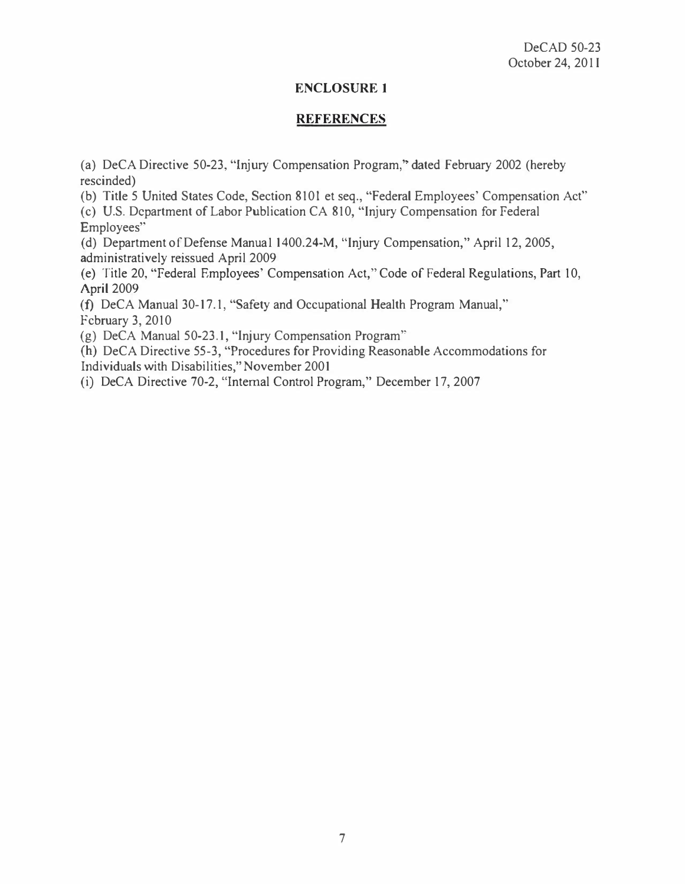#### **ENCLOSURE 1**

#### REFERENCES

(a) DeCA Directive 50-23, "Injury Compensation Program," dated February 2002 (hereby rescinded)

(b) Title 5 United States Code, Section 8101 et seq., "Federal Employees' Compensation Act"

(c) U.S. Department of Labor Publication CA 810, "Injury Compensation for Federal Employees"

(d) Department of Defense ManuaI 1400.24-M, "Injury Compensation," April 12, 2005, administratively reissued April 2009

(e) Title 20, "Federal Employees' Compensation Act," Code of Federal Regulations, Part 10, April 2009

(f) DeCA Manual 30-17.1, "Safety and Occupational Health Program Manual," Fcbruary 3, 2010

(g) DeCA Manual 50-23.1, "[njury Compensation Program"

(h) DeCA Directive 55-3, "Procedures for Providing Reasonable Accommodations for Individuals with Disabilities," November 2001

(i) DeCA Directive 70-2, "Internal Control Program," December 17, 2007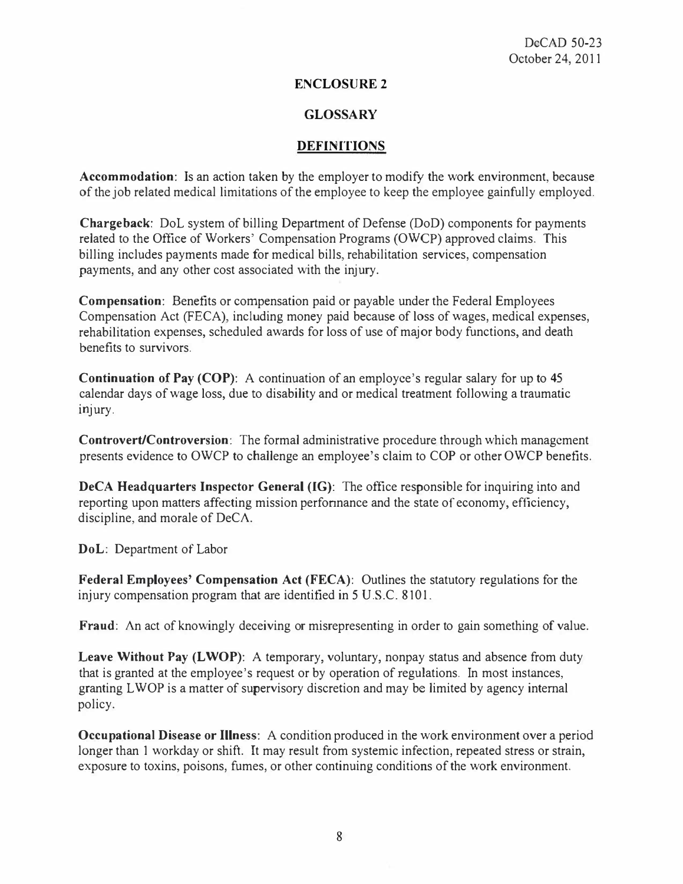#### ENCLOSURE 2

# **GLOSSARY**

#### **DEFINITIONS**

Accommodation: Is an action taken by the employer to modify the work environment, because of the job related medical limitations of the employee to keep the employee gainfully employed.

Charge back: DoL system of billing Department of Defense (DoD) components for payments related to the Office of Workers' Compensation Programs (OWCP) approved claims. This billing includes payments made for medical bills, rehabilitation services, compensation payments, and any other cost associated with the injury.

Compensation: Benefits or compensation paid or payable under the Federal Employees Compensation Act (FECA), including money paid because of loss of wages, medical expenses, rehabilitation expenses, scheduled awards for loss of use of major body functions, and death benefits to survivors.

Continuation of Pay (COP): A continuation of an employee's regular salary for up to 45 calendar days of wage loss, due to disability and or medical treatment following a traumatic injury.

Controvert/Controversion: The formal administrative procedure through which management presents evidence to OWCP to challenge an employee's claim to COP or other OWCP benefits.

DeCA Headquarters Inspector General (IG): The office responsible for inquiring into and reporting upon matters affecting mission perfonnance and the state of economy, efficiency, discipline, and morale of DeCA.

DoL: Department of Labor

Federal Employees' Compensation Act (FECA): Outlines the statutory regulations for the injury compensation program that are identified in 5 U.S.C. 810 I.

Fraud: An act of knowingly deceiving or misrepresenting in order to gain something of value.

Leave Without Pay (LWOP): A temporary, voluntary, nonpay status and absence from duty that is granted at the employee's request or by operation of regulations. In most instances, granting L WOP is a matter of supervisory discretion and may be limited by agency internal policy.

Occupational Disease or Illness: A condition produced in the work environment over a period longer than 1 workday or shift. It may result from systemic infection, repeated stress or strain, exposure to toxins, poisons, fumes, or other continuing conditions of the work environment.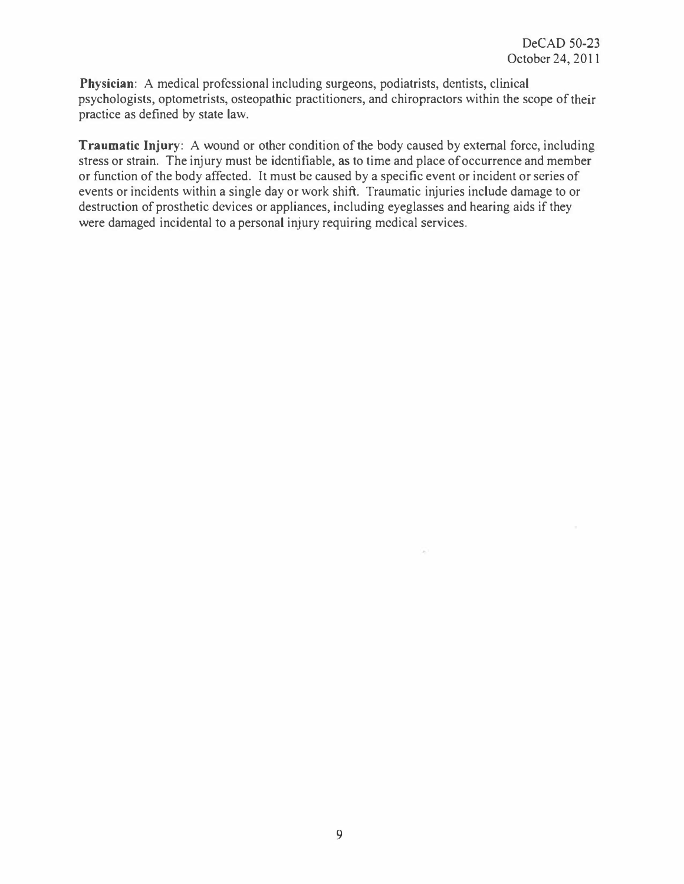Physician: A medical professional including surgeons, podiatrists, dentists, clinical psychologists. optometrists, osteopathic practitioners, and chiropractors within the scope of their practice as defined by state law.

Traumatic Injury: A wound or other condition of the body caused by external force, including stress or strain. The injury must be identifiable, as to time and place of occurrence and member or function of the body affected. It must be caused by a specific event or incident or series of events or incidents within a single day or work shift. Traumatic injuries include damage to or destruction of prosthetic devices or appliances, including eyeglasses and hearing aids if they were damaged incidental to a personal injury requiring medical services.